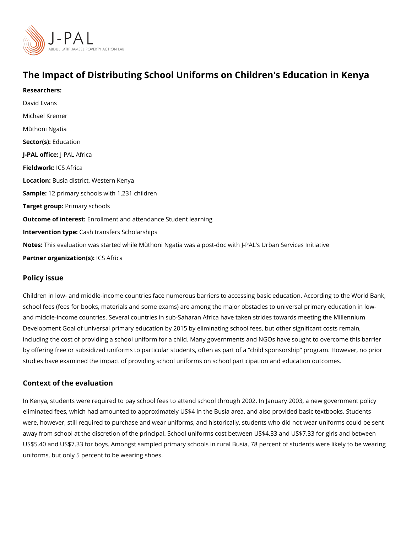# The Impact of Distributing School Uniforms on Children's Education Researchers: David Evans [Michael Kr](https://www.povertyactionlab.org/person/kremer)emer Mithoni Ngatia Sector([Educat](https://www.povertyactionlab.org/sector/education)ion J-PAL offlicReAL Africa Fieldwork: S Africa LocatioBusia district, Western Kenya Sample: 2 primary schools with 1,231 children Target gro@pimary schools Outcome of inte Easollment and attendance Student learning Intervention  $t\mathcal{C}$  pash transfers Scholarships NotesThis evaluation was started while Mithoni Ngatia was a post-doc with J-PAL's Urban Partner organizatli@8(&)frica

#### Policy issue

Children in low- and middle-income countries face numerous barriers to accessing basic e school fees (fees for books, materials and some exams) are among the major obstacles to and middle-income countries. Several countries in sub-Saharan Africa have taken strides Development Goal of universal primary education by 2015 by eliminating school fees, but including the cost of providing a school uniform for a child. Many governments and NGOs by offering free or subsidized uniforms to particular students, often as part of a child sp studies have examined the impact of providing school uniforms on school participation an

### Context of the evaluation

In Kenya, students were required to pay school fees to attend school through 2002. In January eliminated fees, which had amounted to approximately US\$4 in the Busia area, and also p were, however, still required to purchase and wear uniforms, and historically, students wl away from school at the discretion of the principal. School uniforms cost between US\$4.3 US\$5.40 and US\$7.33 for boys. Amongst sampled primary schools in rural Busia, 78 perce uniforms, but only 5 percent to be wearing shoes.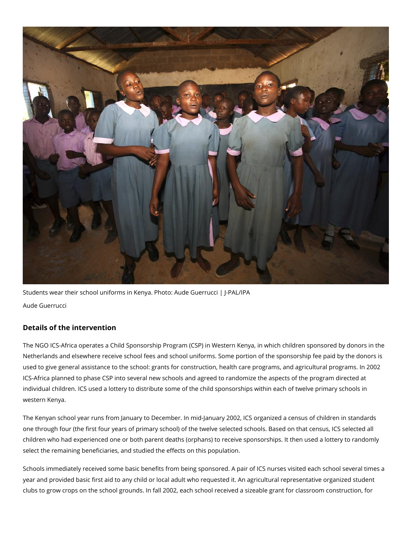

Students wear their school uniforms in Kenya. Photo: Aude Guerrucci | J-PAL/IPA Aude Guerrucci

## **Details of the intervention**

The NGO ICS-Africa operates a Child Sponsorship Program (CSP) in Western Kenya, in which children sponsored by donors in the Netherlands and elsewhere receive school fees and school uniforms. Some portion of the sponsorship fee paid by the donors is used to give general assistance to the school: grants for construction, health care programs, and agricultural programs. In 2002 ICS-Africa planned to phase CSP into several new schools and agreed to randomize the aspects of the program directed at individual children. ICS used a lottery to distribute some of the child sponsorships within each of twelve primary schools in western Kenya.

The Kenyan school year runs from January to December. In mid-January 2002, ICS organized a census of children in standards one through four (the first four years of primary school) of the twelve selected schools. Based on that census, ICS selected all children who had experienced one or both parent deaths (orphans) to receive sponsorships. It then used a lottery to randomly select the remaining beneficiaries, and studied the effects on this population.

Schools immediately received some basic benefits from being sponsored. A pair of ICS nurses visited each school several times a year and provided basic first aid to any child or local adult who requested it. An agricultural representative organized student clubs to grow crops on the school grounds. In fall 2002, each school received a sizeable grant for classroom construction, for